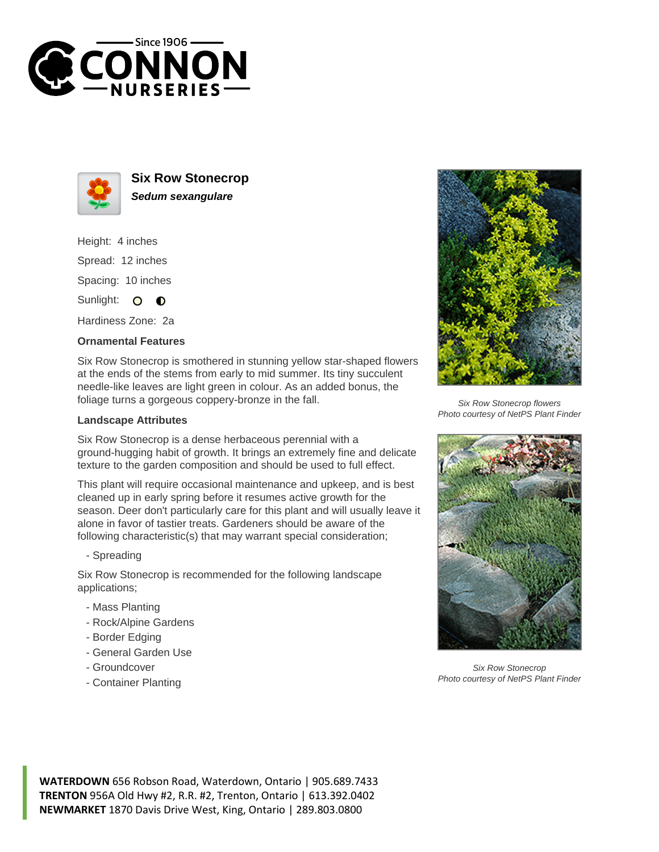



**Six Row Stonecrop Sedum sexangulare**

Height: 4 inches Spread: 12 inches Spacing: 10 inches Sunlight: O **O** 

Hardiness Zone: 2a

## **Ornamental Features**

Six Row Stonecrop is smothered in stunning yellow star-shaped flowers at the ends of the stems from early to mid summer. Its tiny succulent needle-like leaves are light green in colour. As an added bonus, the foliage turns a gorgeous coppery-bronze in the fall.

## **Landscape Attributes**

Six Row Stonecrop is a dense herbaceous perennial with a ground-hugging habit of growth. It brings an extremely fine and delicate texture to the garden composition and should be used to full effect.

This plant will require occasional maintenance and upkeep, and is best cleaned up in early spring before it resumes active growth for the season. Deer don't particularly care for this plant and will usually leave it alone in favor of tastier treats. Gardeners should be aware of the following characteristic(s) that may warrant special consideration;

- Spreading

Six Row Stonecrop is recommended for the following landscape applications;

- Mass Planting
- Rock/Alpine Gardens
- Border Edging
- General Garden Use
- Groundcover
- Container Planting



Six Row Stonecrop flowers Photo courtesy of NetPS Plant Finder



Six Row Stonecrop Photo courtesy of NetPS Plant Finder

**WATERDOWN** 656 Robson Road, Waterdown, Ontario | 905.689.7433 **TRENTON** 956A Old Hwy #2, R.R. #2, Trenton, Ontario | 613.392.0402 **NEWMARKET** 1870 Davis Drive West, King, Ontario | 289.803.0800